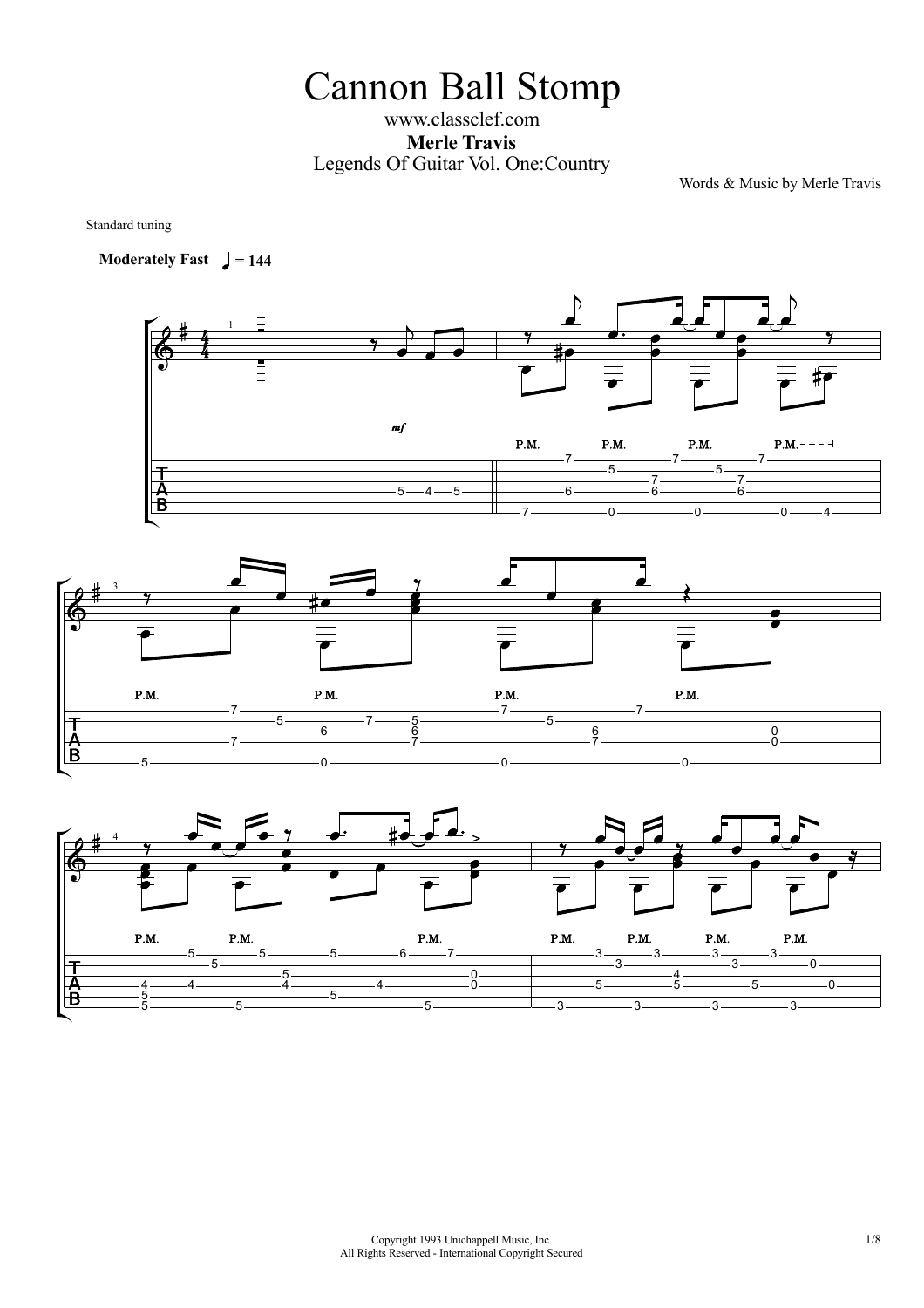Cannon Ball Stomp

www.classclef.com **Merle Travis** Legends Of Guitar Vol. One:Country

Words & Music by Merle Travis

Standard tuning







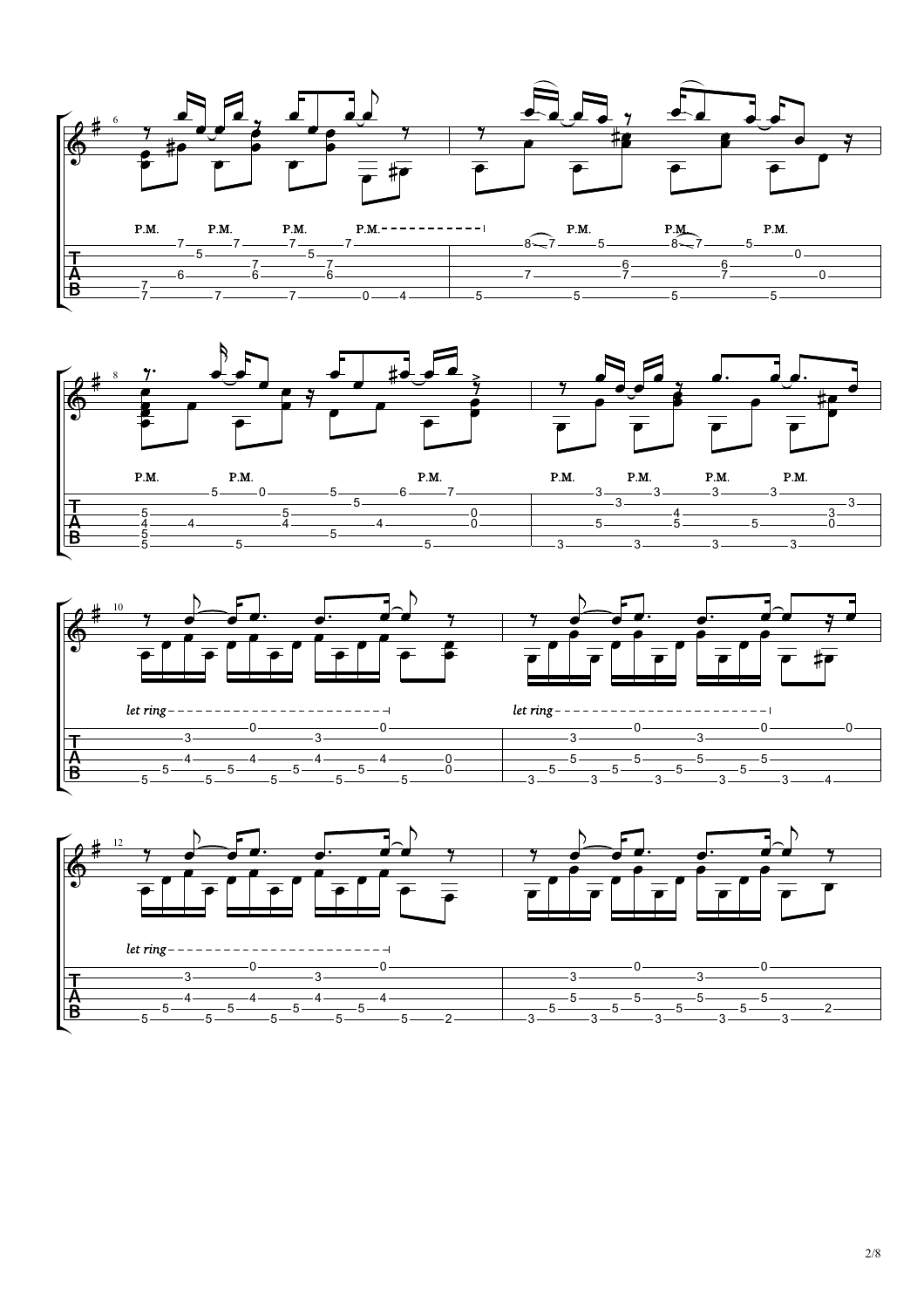







 $5 - 2 - 3 - 3 - 3$ 

 $3 \overline{\longrightarrow} 3 \overline{\longrightarrow}$ 

 $3 \overline{\longrightarrow} 3 \overline{\longrightarrow}$ 

 $3 \overline{\hspace{1cm}} 3 \overline{\hspace{1cm}}$ 

 $3 \overline{\hspace{1cm}}$ 

 $5 \overline{\hspace{1cm}} 5 \overline{\hspace{1cm}}$ 

 $5 \overline{\hspace{1cm}} 5 \overline{\hspace{1cm}}$ 

 $5 \overline{\hspace{1cm}} 5 \overline{\hspace{1cm}}$ 

 $5 \overline{\hspace{1cm}} 5 \overline{\hspace{1cm}} 2$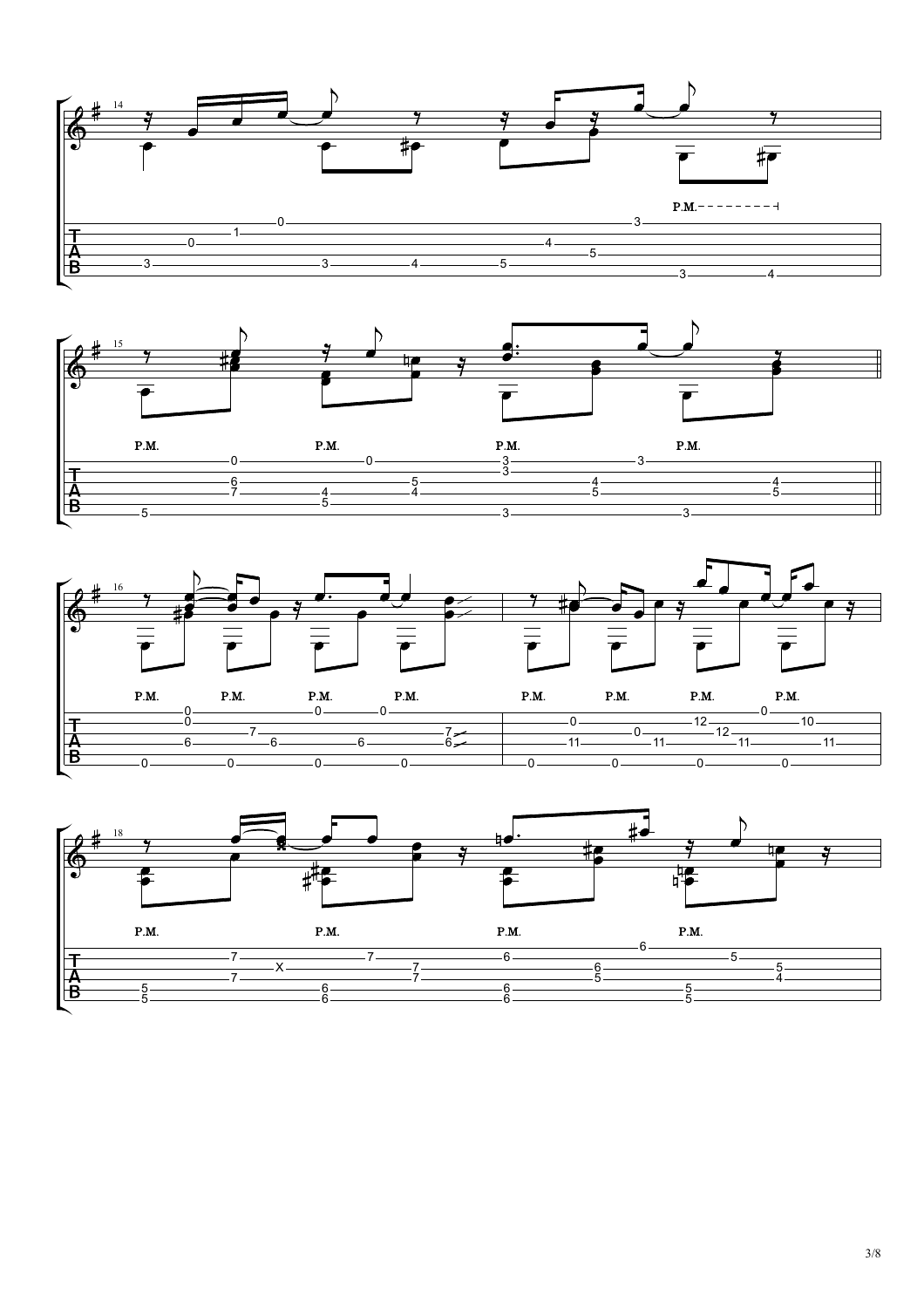





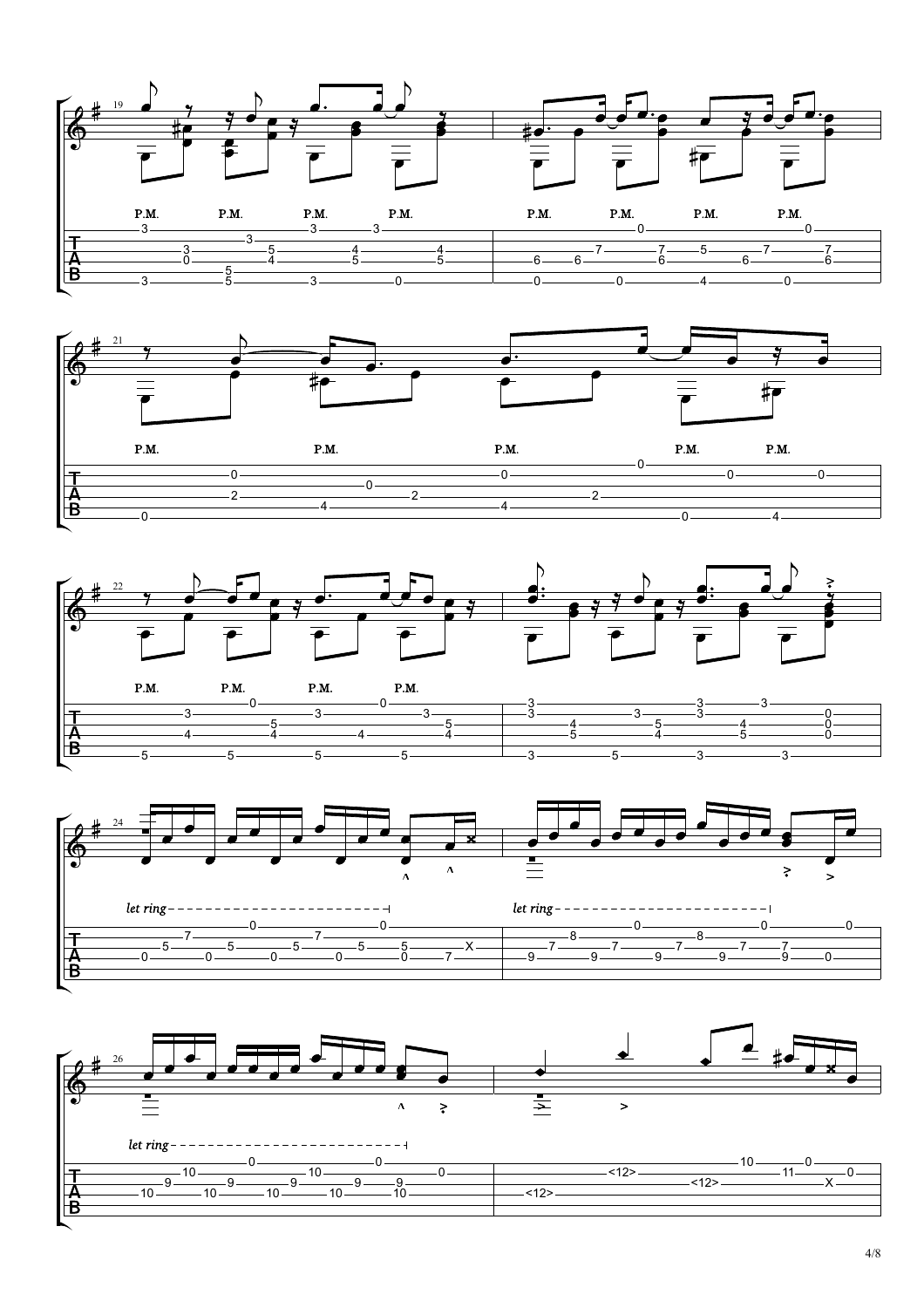







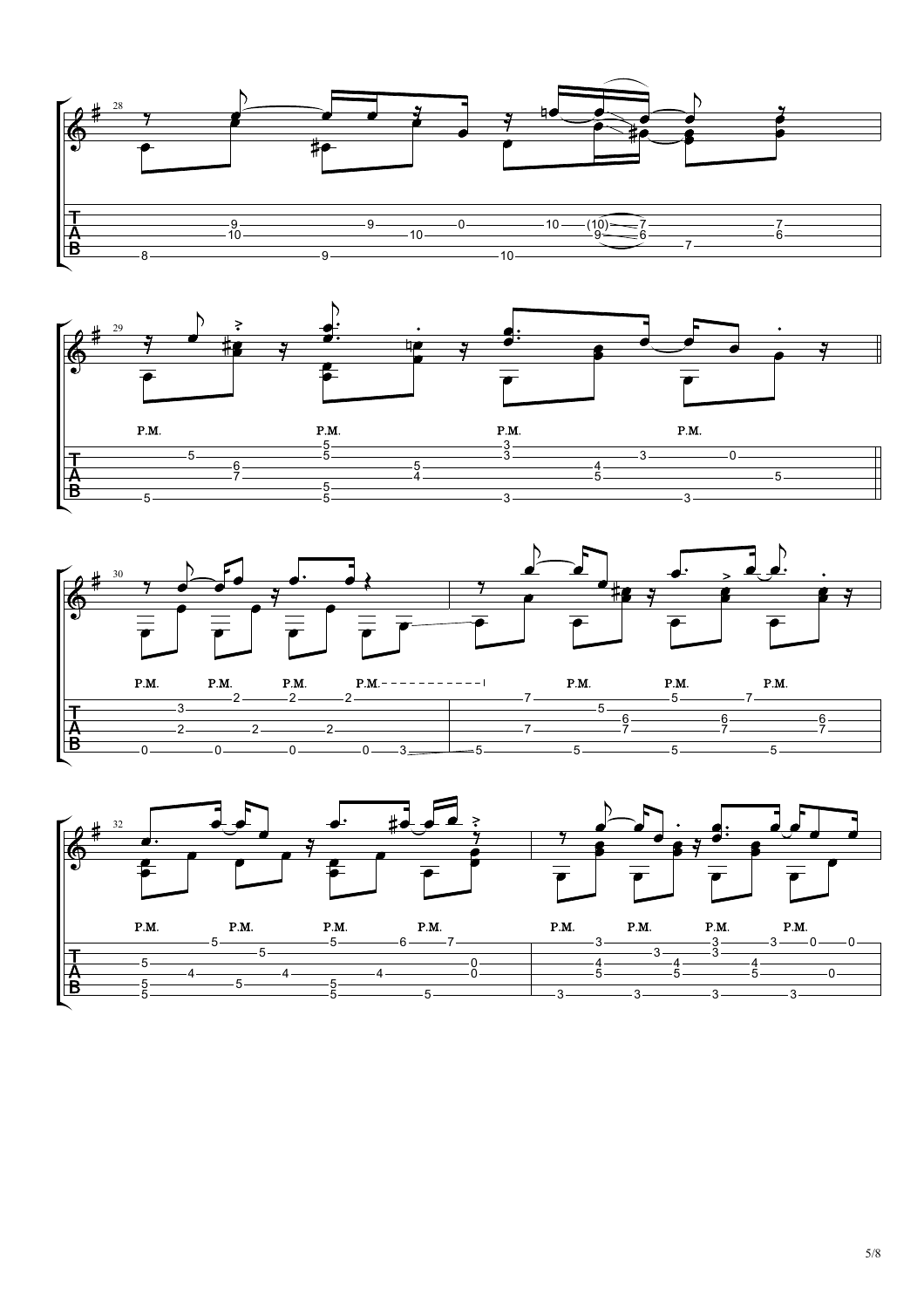





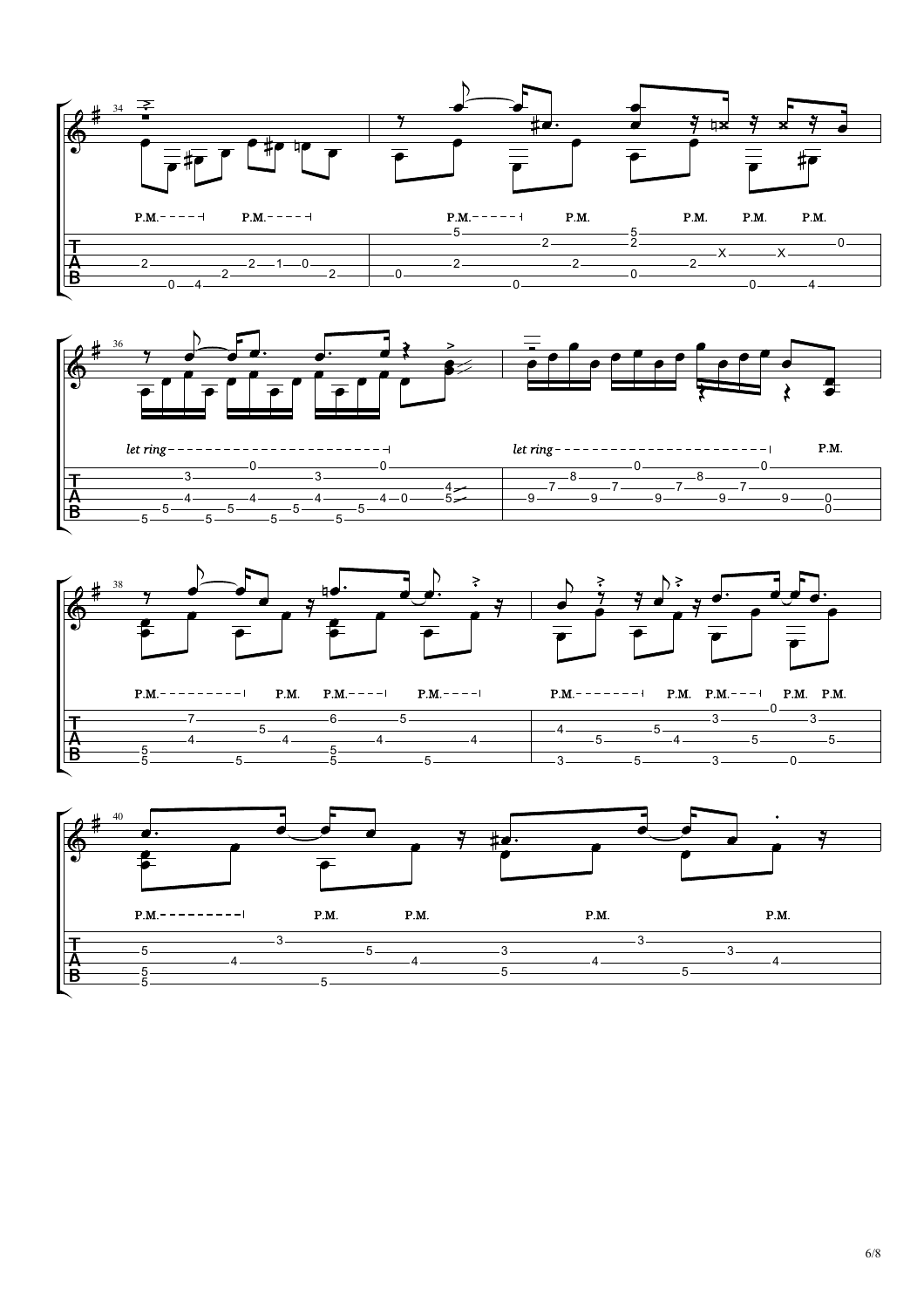





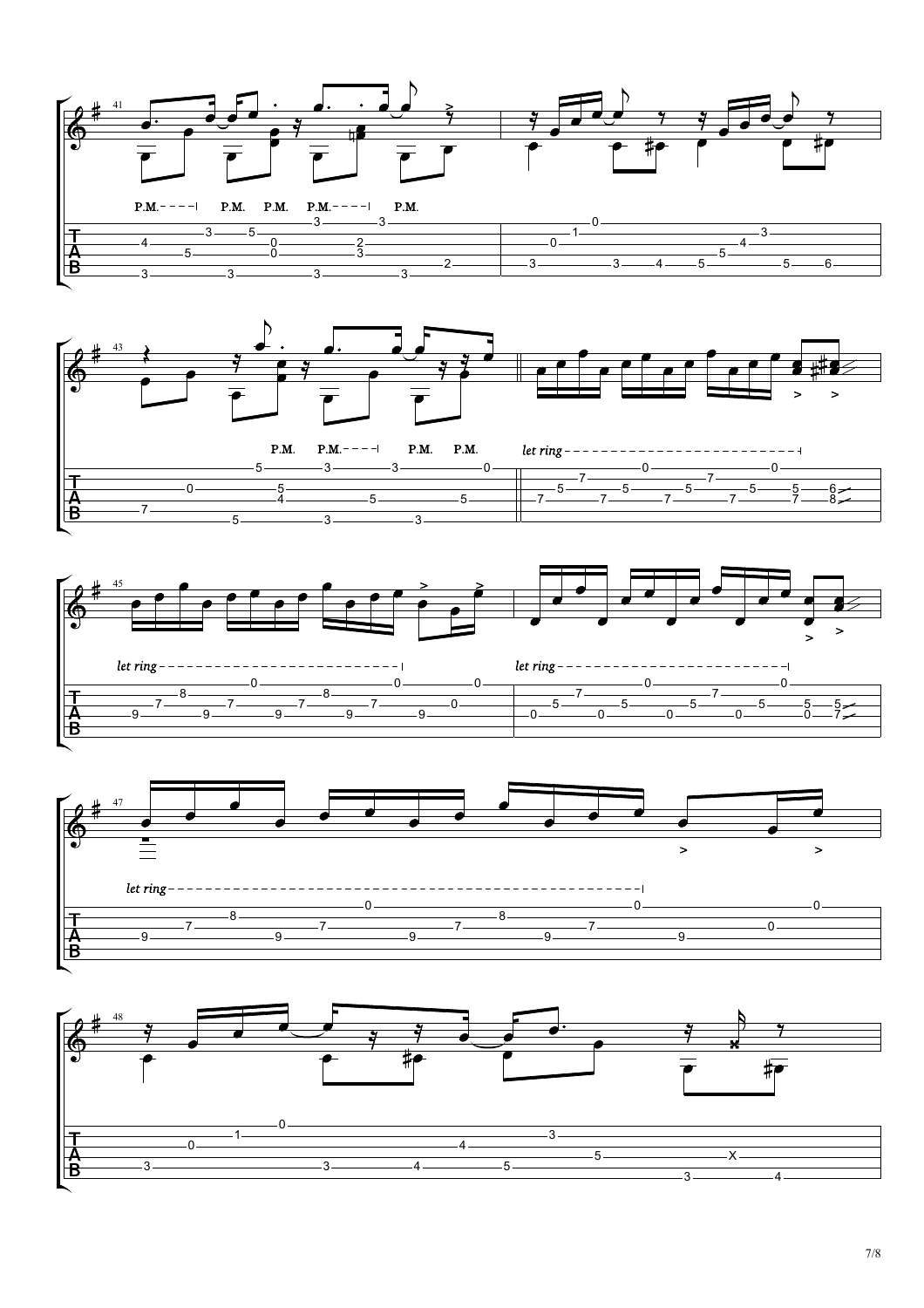

<sup>7/8</sup>